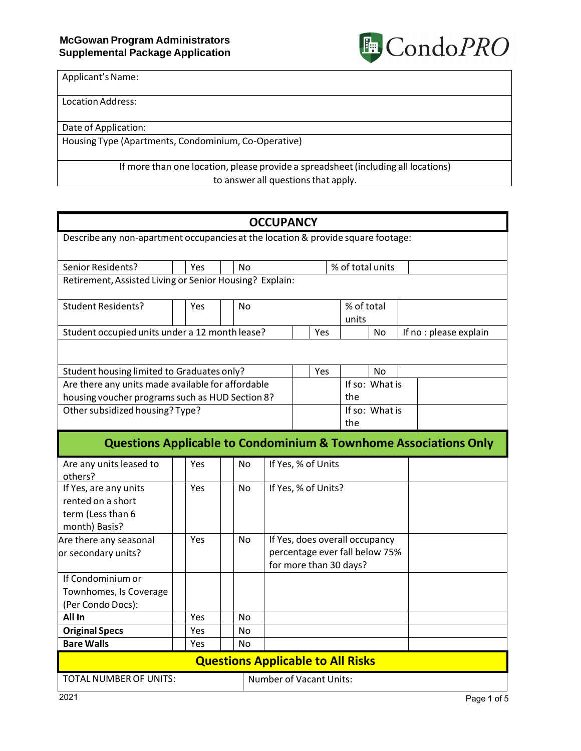

Applicant's Name:

Location Address:

Date of Application:

Housing Type (Apartments, Condominium, Co-Operative)

If more than one location, please provide a spreadsheet (including all locations) to answer all questions that apply.

|                                                                                  |                  |     |  |           | <b>OCCUPANCY</b>                                                                           |     |  |           |                  |                       |                                                                             |
|----------------------------------------------------------------------------------|------------------|-----|--|-----------|--------------------------------------------------------------------------------------------|-----|--|-----------|------------------|-----------------------|-----------------------------------------------------------------------------|
| Describe any non-apartment occupancies at the location & provide square footage: |                  |     |  |           |                                                                                            |     |  |           |                  |                       |                                                                             |
|                                                                                  |                  |     |  |           |                                                                                            |     |  |           |                  |                       |                                                                             |
| Senior Residents?                                                                | Yes<br><b>No</b> |     |  |           |                                                                                            |     |  |           | % of total units |                       |                                                                             |
| Retirement, Assisted Living or Senior Housing? Explain:                          |                  |     |  |           |                                                                                            |     |  |           |                  |                       |                                                                             |
| <b>Student Residents?</b>                                                        |                  | Yes |  | <b>No</b> | % of total<br>units                                                                        |     |  |           |                  |                       |                                                                             |
| Student occupied units under a 12 month lease?                                   |                  |     |  |           |                                                                                            | Yes |  | <b>No</b> |                  | If no: please explain |                                                                             |
|                                                                                  |                  |     |  |           |                                                                                            |     |  |           |                  |                       |                                                                             |
| Student housing limited to Graduates only?                                       |                  |     |  |           |                                                                                            | Yes |  | No        |                  |                       |                                                                             |
| Are there any units made available for affordable                                |                  |     |  |           |                                                                                            |     |  |           | If so: What is   |                       |                                                                             |
| housing voucher programs such as HUD Section 8?                                  |                  |     |  |           |                                                                                            |     |  | the       |                  |                       |                                                                             |
| Other subsidized housing? Type?                                                  |                  |     |  |           |                                                                                            |     |  |           | If so: What is   |                       |                                                                             |
|                                                                                  |                  |     |  |           |                                                                                            |     |  | the       |                  |                       |                                                                             |
|                                                                                  |                  |     |  |           |                                                                                            |     |  |           |                  |                       | <b>Questions Applicable to Condominium &amp; Townhome Associations Only</b> |
| Are any units leased to<br>others?                                               |                  | Yes |  | No        | If Yes, % of Units                                                                         |     |  |           |                  |                       |                                                                             |
| If Yes, are any units<br>rented on a short<br>term (Less than 6<br>month) Basis? |                  | Yes |  | No        | If Yes, % of Units?                                                                        |     |  |           |                  |                       |                                                                             |
| Are there any seasonal<br>or secondary units?                                    |                  | Yes |  | No        | If Yes, does overall occupancy<br>percentage ever fall below 75%<br>for more than 30 days? |     |  |           |                  |                       |                                                                             |
| If Condominium or<br>Townhomes, Is Coverage<br>(Per Condo Docs):                 |                  |     |  |           |                                                                                            |     |  |           |                  |                       |                                                                             |
| All In                                                                           |                  | Yes |  | No        |                                                                                            |     |  |           |                  |                       |                                                                             |
| <b>Original Specs</b>                                                            |                  | Yes |  | No        |                                                                                            |     |  |           |                  |                       |                                                                             |
| <b>Bare Walls</b>                                                                |                  | Yes |  | No        |                                                                                            |     |  |           |                  |                       |                                                                             |
|                                                                                  |                  |     |  |           | <b>Questions Applicable to All Risks</b>                                                   |     |  |           |                  |                       |                                                                             |
| <b>TOTAL NUMBER OF UNITS:</b>                                                    |                  |     |  |           | <b>Number of Vacant Units:</b>                                                             |     |  |           |                  |                       |                                                                             |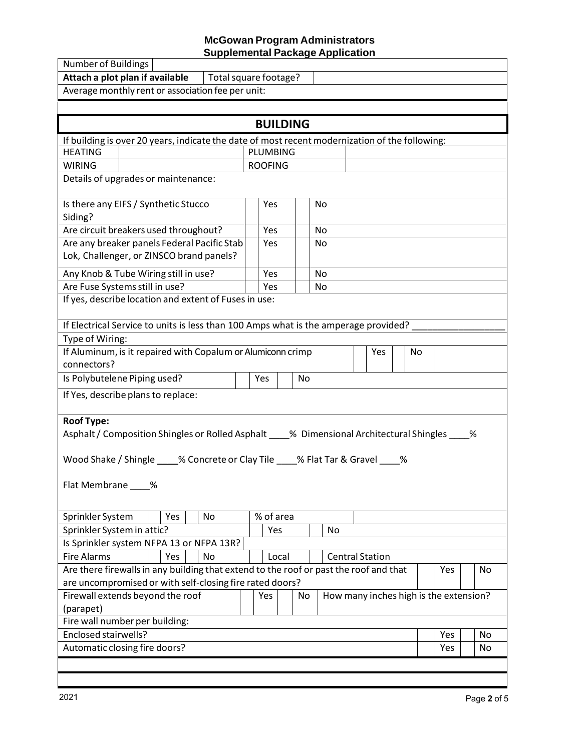## **McGowan Program Administrators Supplemental Package Application**

| <b>Number of Buildings</b>                                                                                              |     |                       |  |                 |  |                        |            |     |     |     |     |  |    |
|-------------------------------------------------------------------------------------------------------------------------|-----|-----------------------|--|-----------------|--|------------------------|------------|-----|-----|-----|-----|--|----|
| Attach a plot plan if available                                                                                         |     | Total square footage? |  |                 |  |                        |            |     |     |     |     |  |    |
| Average monthly rent or association fee per unit:                                                                       |     |                       |  |                 |  |                        |            |     |     |     |     |  |    |
|                                                                                                                         |     |                       |  |                 |  |                        |            |     |     |     |     |  |    |
|                                                                                                                         |     |                       |  | <b>BUILDING</b> |  |                        |            |     |     |     |     |  |    |
| If building is over 20 years, indicate the date of most recent modernization of the following:                          |     |                       |  |                 |  |                        |            |     |     |     |     |  |    |
| <b>HEATING</b>                                                                                                          |     |                       |  | <b>PLUMBING</b> |  |                        |            |     |     |     |     |  |    |
| <b>WIRING</b>                                                                                                           |     |                       |  | <b>ROOFING</b>  |  |                        |            |     |     |     |     |  |    |
| Details of upgrades or maintenance:                                                                                     |     |                       |  |                 |  |                        |            |     |     |     |     |  |    |
| Is there any EIFS / Synthetic Stucco<br>Siding?                                                                         |     |                       |  | Yes             |  | No                     |            |     |     |     |     |  |    |
| Are circuit breakers used throughout?                                                                                   |     |                       |  | Yes             |  | No                     |            |     |     |     |     |  |    |
| Are any breaker panels Federal Pacific Stab                                                                             |     |                       |  | Yes             |  | No                     |            |     |     |     |     |  |    |
| Lok, Challenger, or ZINSCO brand panels?                                                                                |     |                       |  |                 |  |                        |            |     |     |     |     |  |    |
| Any Knob & Tube Wiring still in use?                                                                                    |     |                       |  | Yes             |  | No                     |            |     |     |     |     |  |    |
| Are Fuse Systems still in use?                                                                                          |     |                       |  | Yes             |  | No                     |            |     |     |     |     |  |    |
| If yes, describe location and extent of Fuses in use:                                                                   |     |                       |  |                 |  |                        |            |     |     |     |     |  |    |
| If Electrical Service to units is less than 100 Amps what is the amperage provided?                                     |     |                       |  |                 |  |                        |            |     |     |     |     |  |    |
| Type of Wiring:                                                                                                         |     |                       |  |                 |  |                        |            |     |     |     |     |  |    |
| If Aluminum, is it repaired with Copalum or Alumiconn crimp                                                             |     |                       |  |                 |  |                        |            | Yes |     | No. |     |  |    |
| connectors?                                                                                                             |     |                       |  |                 |  |                        |            |     |     |     |     |  |    |
| Is Polybutelene Piping used?<br>Yes<br>No                                                                               |     |                       |  |                 |  |                        |            |     |     |     |     |  |    |
| If Yes, describe plans to replace:                                                                                      |     |                       |  |                 |  |                        |            |     |     |     |     |  |    |
| <b>Roof Type:</b>                                                                                                       |     |                       |  |                 |  |                        |            |     |     |     |     |  |    |
| Asphalt / Composition Shingles or Rolled Asphalt ____% Dimensional Architectural Shingles ____ %                        |     |                       |  |                 |  |                        |            |     |     |     |     |  |    |
|                                                                                                                         |     |                       |  |                 |  |                        |            |     |     |     |     |  |    |
| Wood Shake / Shingle 4.6 Concrete or Clay Tile 4.6 Flat Tar & Gravel 4.6 Wood Shake / Shingle 4.6 Concrete or Clay Tile |     |                       |  |                 |  |                        |            |     |     |     |     |  |    |
| Flat Membrane ____%                                                                                                     |     |                       |  |                 |  |                        |            |     |     |     |     |  |    |
|                                                                                                                         |     |                       |  |                 |  |                        |            |     |     |     |     |  |    |
| Sprinkler System                                                                                                        | Yes | No                    |  | % of area       |  |                        |            |     |     |     |     |  |    |
| Sprinkler System in attic?<br>Yes                                                                                       |     |                       |  |                 |  | No                     |            |     |     |     |     |  |    |
| Is Sprinkler system NFPA 13 or NFPA 13R?                                                                                |     |                       |  |                 |  |                        |            |     |     |     |     |  |    |
| <b>Fire Alarms</b>                                                                                                      | Yes | No                    |  | Local           |  | <b>Central Station</b> |            |     |     |     |     |  |    |
| Are there firewalls in any building that extend to the roof or past the roof and that                                   |     |                       |  |                 |  |                        |            |     |     |     | Yes |  | No |
| are uncompromised or with self-closing fire rated doors?                                                                |     |                       |  |                 |  |                        |            |     |     |     |     |  |    |
| Firewall extends beyond the roof<br>How many inches high is the extension?<br>Yes<br>No                                 |     |                       |  |                 |  |                        |            |     |     |     |     |  |    |
| (parapet)                                                                                                               |     |                       |  |                 |  |                        |            |     |     |     |     |  |    |
| Fire wall number per building:                                                                                          |     |                       |  |                 |  |                        |            |     |     |     |     |  |    |
| Enclosed stairwells?                                                                                                    |     |                       |  |                 |  |                        | Yes        |     | No  |     |     |  |    |
| Automatic closing fire doors?                                                                                           |     |                       |  |                 |  |                        | <b>Yes</b> |     | No. |     |     |  |    |
|                                                                                                                         |     |                       |  |                 |  |                        |            |     |     |     |     |  |    |
|                                                                                                                         |     |                       |  |                 |  |                        |            |     |     |     |     |  |    |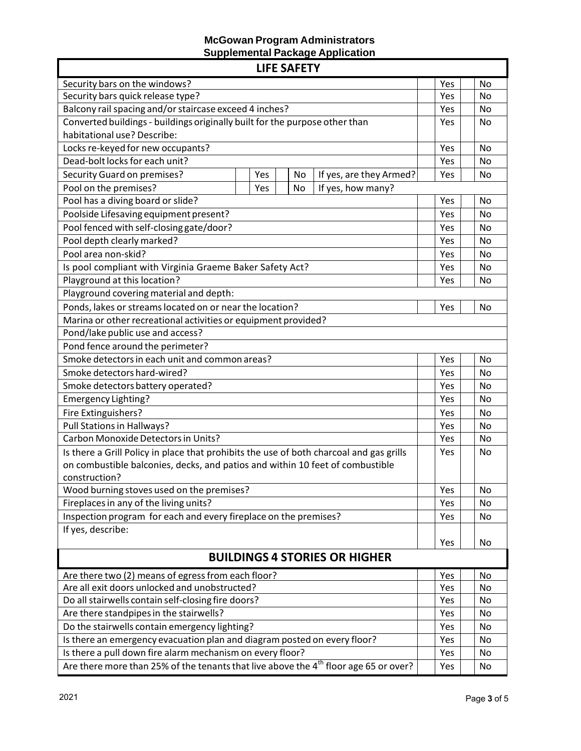## **McGowan Program Administrators Supplemental Package Application**

| <b>LIFE SAFETY</b>                                                                               |     |           |  |  |  |  |  |
|--------------------------------------------------------------------------------------------------|-----|-----------|--|--|--|--|--|
| Security bars on the windows?                                                                    | Yes | No        |  |  |  |  |  |
| Security bars quick release type?                                                                | Yes | <b>No</b> |  |  |  |  |  |
| Balcony rail spacing and/or staircase exceed 4 inches?                                           | Yes | No        |  |  |  |  |  |
| Converted buildings - buildings originally built for the purpose other than                      | Yes | No        |  |  |  |  |  |
| habitational use? Describe:                                                                      |     |           |  |  |  |  |  |
| Locks re-keyed for new occupants?                                                                | Yes | <b>No</b> |  |  |  |  |  |
| Dead-bolt locks for each unit?                                                                   | Yes | No        |  |  |  |  |  |
| <b>Security Guard on premises?</b><br>If yes, are they Armed?<br>Yes<br>No                       | Yes | <b>No</b> |  |  |  |  |  |
| Pool on the premises?<br>If yes, how many?<br>No<br>Yes                                          |     |           |  |  |  |  |  |
| Pool has a diving board or slide?                                                                | Yes | No        |  |  |  |  |  |
| Poolside Lifesaving equipment present?                                                           | Yes | <b>No</b> |  |  |  |  |  |
| Pool fenced with self-closing gate/door?                                                         | Yes | <b>No</b> |  |  |  |  |  |
| Pool depth clearly marked?                                                                       | Yes | No        |  |  |  |  |  |
| Pool area non-skid?                                                                              | Yes | <b>No</b> |  |  |  |  |  |
| Is pool compliant with Virginia Graeme Baker Safety Act?                                         | Yes | <b>No</b> |  |  |  |  |  |
| Playground at this location?                                                                     | Yes | No        |  |  |  |  |  |
| Playground covering material and depth:                                                          |     |           |  |  |  |  |  |
| Ponds, lakes or streams located on or near the location?                                         | Yes | <b>No</b> |  |  |  |  |  |
| Marina or other recreational activities or equipment provided?                                   |     |           |  |  |  |  |  |
| Pond/lake public use and access?                                                                 |     |           |  |  |  |  |  |
| Pond fence around the perimeter?                                                                 |     |           |  |  |  |  |  |
| Smoke detectors in each unit and common areas?                                                   | Yes | No        |  |  |  |  |  |
| Smoke detectors hard-wired?                                                                      | Yes | No        |  |  |  |  |  |
| Smoke detectors battery operated?                                                                | Yes | <b>No</b> |  |  |  |  |  |
| Emergency Lighting?                                                                              | Yes | No        |  |  |  |  |  |
| Fire Extinguishers?                                                                              | Yes | <b>No</b> |  |  |  |  |  |
| Pull Stations in Hallways?                                                                       | Yes | No        |  |  |  |  |  |
| Carbon Monoxide Detectors in Units?                                                              | Yes | <b>No</b> |  |  |  |  |  |
| Is there a Grill Policy in place that prohibits the use of both charcoal and gas grills          | Yes | No        |  |  |  |  |  |
| on combustible balconies, decks, and patios and within 10 feet of combustible                    |     |           |  |  |  |  |  |
| construction?                                                                                    |     |           |  |  |  |  |  |
| Wood burning stoves used on the premises?                                                        | Yes | No        |  |  |  |  |  |
| Fireplaces in any of the living units?                                                           | Yes | No        |  |  |  |  |  |
| Inspection program for each and every fireplace on the premises?                                 | Yes | No        |  |  |  |  |  |
| If yes, describe:                                                                                |     |           |  |  |  |  |  |
|                                                                                                  | Yes | No        |  |  |  |  |  |
| <b>BUILDINGS 4 STORIES OR HIGHER</b>                                                             |     |           |  |  |  |  |  |
| Are there two (2) means of egress from each floor?                                               | Yes | No        |  |  |  |  |  |
| Are all exit doors unlocked and unobstructed?                                                    | Yes | No        |  |  |  |  |  |
| Do all stairwells contain self-closing fire doors?                                               | Yes | No        |  |  |  |  |  |
| Are there standpipes in the stairwells?                                                          | Yes | No        |  |  |  |  |  |
| Do the stairwells contain emergency lighting?                                                    | Yes | No        |  |  |  |  |  |
| Is there an emergency evacuation plan and diagram posted on every floor?                         | Yes | No        |  |  |  |  |  |
| Is there a pull down fire alarm mechanism on every floor?                                        | Yes | No        |  |  |  |  |  |
| Are there more than 25% of the tenants that live above the 4 <sup>th</sup> floor age 65 or over? | Yes | No        |  |  |  |  |  |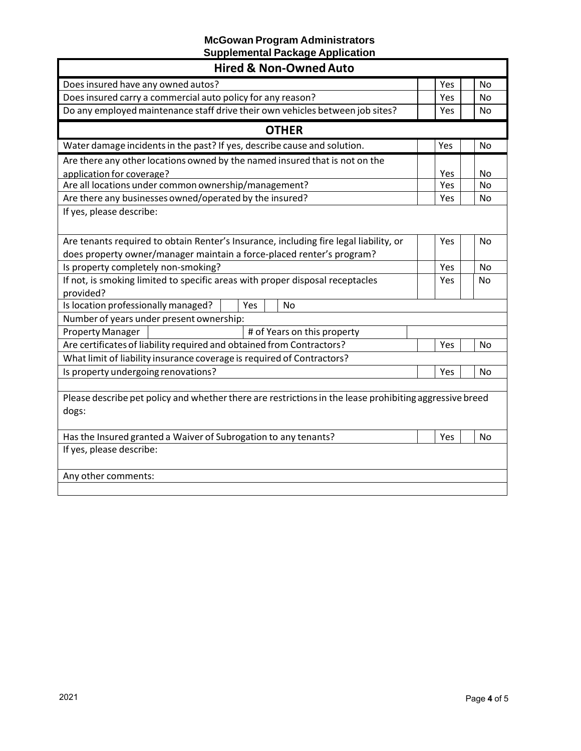## **McGowan Program Administrators Supplemental Package Application**

| <b>Hired &amp; Non-Owned Auto</b>                                                                                                                              |            |           |
|----------------------------------------------------------------------------------------------------------------------------------------------------------------|------------|-----------|
| Does insured have any owned autos?                                                                                                                             | Yes        | No        |
| Does insured carry a commercial auto policy for any reason?                                                                                                    | Yes        | <b>No</b> |
| Do any employed maintenance staff drive their own vehicles between job sites?                                                                                  | <b>Yes</b> | <b>No</b> |
| <b>OTHER</b>                                                                                                                                                   |            |           |
| Water damage incidents in the past? If yes, describe cause and solution.                                                                                       | Yes        | <b>No</b> |
| Are there any other locations owned by the named insured that is not on the                                                                                    |            |           |
| application for coverage?                                                                                                                                      | Yes        | No        |
| Are all locations under common ownership/management?                                                                                                           | Yes        | <b>No</b> |
| Are there any businesses owned/operated by the insured?                                                                                                        | Yes        | <b>No</b> |
| If yes, please describe:                                                                                                                                       |            |           |
| Are tenants required to obtain Renter's Insurance, including fire legal liability, or<br>does property owner/manager maintain a force-placed renter's program? | Yes        | <b>No</b> |
| Is property completely non-smoking?                                                                                                                            | Yes        | <b>No</b> |
| If not, is smoking limited to specific areas with proper disposal receptacles<br>provided?                                                                     | Yes        | <b>No</b> |
| Is location professionally managed?<br>Yes<br><b>No</b>                                                                                                        |            |           |
| Number of years under present ownership:                                                                                                                       |            |           |
| <b>Property Manager</b><br># of Years on this property                                                                                                         |            |           |
| Are certificates of liability required and obtained from Contractors?                                                                                          | Yes        | <b>No</b> |
| What limit of liability insurance coverage is required of Contractors?                                                                                         |            |           |
| Is property undergoing renovations?                                                                                                                            | Yes        | <b>No</b> |
| Please describe pet policy and whether there are restrictions in the lease prohibiting aggressive breed<br>dogs:                                               |            |           |
| Has the Insured granted a Waiver of Subrogation to any tenants?                                                                                                | Yes        | No        |
| If yes, please describe:                                                                                                                                       |            |           |
| Any other comments:                                                                                                                                            |            |           |
|                                                                                                                                                                |            |           |